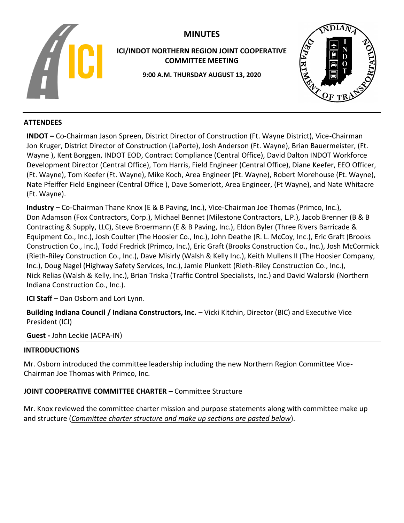

# **MINUTES**

**ICI/INDOT NORTHERN REGION JOINT COOPERATIVE COMMITTEE MEETING**

**9:00 A.M. THURSDAY AUGUST 13, 2020**



# **ATTENDEES**

**INDOT –** Co-Chairman Jason Spreen, District Director of Construction (Ft. Wayne District), Vice-Chairman Jon Kruger, District Director of Construction (LaPorte), Josh Anderson (Ft. Wayne), Brian Bauermeister, (Ft. Wayne ), Kent Borggen, INDOT EOD, Contract Compliance (Central Office), David Dalton INDOT Workforce Development Director (Central Office), Tom Harris, Field Engineer (Central Office), Diane Keefer, EEO Officer, (Ft. Wayne), Tom Keefer (Ft. Wayne), Mike Koch, Area Engineer (Ft. Wayne), Robert Morehouse (Ft. Wayne), Nate Pfeiffer Field Engineer (Central Office ), Dave Somerlott, Area Engineer, (Ft Wayne), and Nate Whitacre (Ft. Wayne).

**Industry –** Co-Chairman Thane Knox (E & B Paving, Inc.), Vice-Chairman Joe Thomas (Primco, Inc.), Don Adamson (Fox Contractors, Corp.), Michael Bennet (Milestone Contractors, L.P.), Jacob Brenner (B & B Contracting & Supply, LLC), Steve Broermann (E & B Paving, Inc.), Eldon Byler (Three Rivers Barricade & Equipment Co., Inc.), Josh Coulter (The Hoosier Co., Inc.), John Deathe (R. L. McCoy, Inc.), Eric Graft (Brooks Construction Co., Inc.), Todd Fredrick (Primco, Inc.), Eric Graft (Brooks Construction Co., Inc.), Josh McCormick (Rieth-Riley Construction Co., Inc.), Dave Misirly (Walsh & Kelly Inc.), Keith Mullens II (The Hoosier Company, Inc.), Doug Nagel (Highway Safety Services, Inc.), Jamie Plunkett (Rieth-Riley Construction Co., Inc.), Nick Relias (Walsh & Kelly, Inc.), Brian Triska (Traffic Control Specialists, Inc.) and David Walorski (Northern Indiana Construction Co., Inc.).

**ICI Staff –** Dan Osborn and Lori Lynn.

**Building Indiana Council / Indiana Constructors, Inc.** – Vicki Kitchin, Director (BIC) and Executive Vice President (ICI)

**Guest -** John Leckie (ACPA-IN)

# **INTRODUCTIONS**

Mr. Osborn introduced the committee leadership including the new Northern Region Committee Vice-Chairman Joe Thomas with Primco, Inc.

# **JOINT COOPERATIVE COMMITTEE CHARTER –** Committee Structure

Mr. Knox reviewed the committee charter mission and purpose statements along with committee make up and structure (*Committee charter structure and make up sections are pasted below*).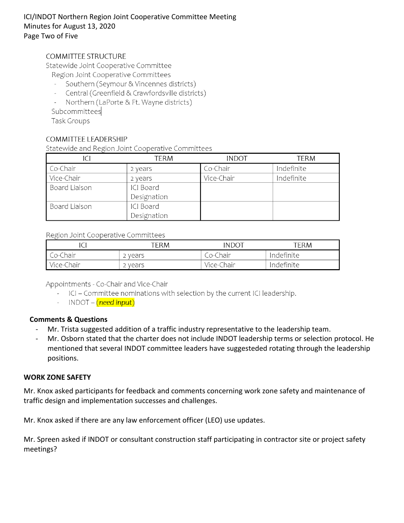# ICI/INDOT Northern Region Joint Cooperative Committee Meeting Minutes for August 13, 2020 Page Two of Five

## **COMMITTEE STRUCTURE**

Statewide Joint Cooperative Committee

- Region Joint Cooperative Committees
- Southern (Seymour & Vincennes districts)
- Central (Greenfield & Crawfordsville districts)
- $\mathcal{L}_{\mathcal{A}}$ Northern (LaPorte & Ft. Wayne districts)

Subcommittees

**Task Groups** 

## COMMITTEE LEADERSHIP

Statewide and Region Joint Cooperative Committees

| ICI                  | TERM        | <b>INDOT</b> | term       |
|----------------------|-------------|--------------|------------|
| Co-Chair             | 2 years     | Co-Chair     | Indefinite |
| Vice-Chair           | 2 years     | Vice-Chair   | Indefinite |
| <b>Board Liaison</b> | ICI Board   |              |            |
|                      | Designation |              |            |
| <b>Board Liaison</b> | ICI Board   |              |            |
|                      | Designation |              |            |

#### Region Joint Cooperative Committees

|            | TERM  | <b>INDOT</b> | ERM        |
|------------|-------|--------------|------------|
| Co-Chair   | vears | Co-Chair     | Indefinite |
| Vice-Chair | vears | Vice-Chair   | Indefinite |

Appointments - Co-Chair and Vice-Chair

- ICI Committee nominations with selection by the current ICI leadership.
- INDOT (need input)

## **Comments & Questions**

- Mr. Trista suggested addition of a traffic industry representative to the leadership team.
- Mr. Osborn stated that the charter does not include INDOT leadership terms or selection protocol. He mentioned that several INDOT committee leaders have suggesteded rotating through the leadership positions.

## **WORK ZONE SAFETY**

Mr. Knox asked participants for feedback and comments concerning work zone safety and maintenance of traffic design and implementation successes and challenges.

Mr. Knox asked if there are any law enforcement officer (LEO) use updates.

Mr. Spreen asked if INDOT or consultant construction staff participating in contractor site or project safety meetings?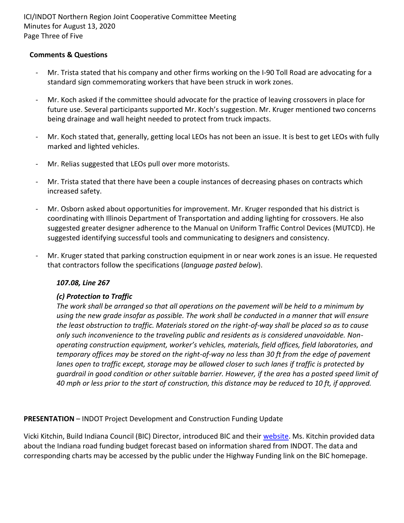ICI/INDOT Northern Region Joint Cooperative Committee Meeting Minutes for August 13, 2020 Page Three of Five

## **Comments & Questions**

- Mr. Trista stated that his company and other firms working on the I-90 Toll Road are advocating for a standard sign commemorating workers that have been struck in work zones.
- Mr. Koch asked if the committee should advocate for the practice of leaving crossovers in place for future use. Several participants supported Mr. Koch's suggestion. Mr. Kruger mentioned two concerns being drainage and wall height needed to protect from truck impacts.
- Mr. Koch stated that, generally, getting local LEOs has not been an issue. It is best to get LEOs with fully marked and lighted vehicles.
- Mr. Relias suggested that LEOs pull over more motorists.
- Mr. Trista stated that there have been a couple instances of decreasing phases on contracts which increased safety.
- Mr. Osborn asked about opportunities for improvement. Mr. Kruger responded that his district is coordinating with Illinois Department of Transportation and adding lighting for crossovers. He also suggested greater designer adherence to the Manual on Uniform Traffic Control Devices (MUTCD). He suggested identifying successful tools and communicating to designers and consistency.
- Mr. Kruger stated that parking construction equipment in or near work zones is an issue. He requested that contractors follow the specifications (*language pasted below*).

## *107.08, Line 267*

# *(c) Protection to Traffic*

*The work shall be arranged so that all operations on the pavement will be held to a minimum by using the new grade insofar as possible. The work shall be conducted in a manner that will ensure the least obstruction to traffic. Materials stored on the right-of-way shall be placed so as to cause only such inconvenience to the traveling public and residents as is considered unavoidable. Nonoperating construction equipment, worker's vehicles, materials, field offices, field laboratories, and temporary offices may be stored on the right-of-way no less than 30 ft from the edge of pavement lanes open to traffic except, storage may be allowed closer to such lanes if traffic is protected by guardrail in good condition or other suitable barrier. However, if the area has a posted speed limit of 40 mph or less prior to the start of construction, this distance may be reduced to 10 ft, if approved.*

# **PRESENTATION** – INDOT Project Development and Construction Funding Update

Vicki Kitchin, Build Indiana Council (BIC) Director, introduced BIC and their [website.](https://buildindianacouncil.org/) Ms. Kitchin provided data about the Indiana road funding budget forecast based on information shared from INDOT. The data and corresponding charts may be accessed by the public under the Highway Funding link on the BIC homepage.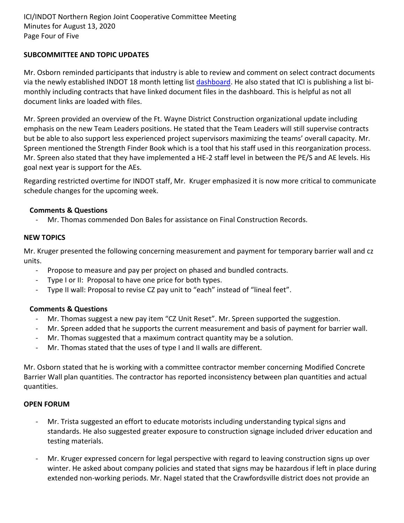## **SUBCOMMITTEE AND TOPIC UPDATES**

Mr. Osborn reminded participants that industry is able to review and comment on select contract documents via the newly established INDOT 18 month letting list [dashboard.](https://entapps.indot.in.gov/lettings/Dashboard) He also stated that ICI is publishing a list bimonthly including contracts that have linked document files in the dashboard. This is helpful as not all document links are loaded with files.

Mr. Spreen provided an overview of the Ft. Wayne District Construction organizational update including emphasis on the new Team Leaders positions. He stated that the Team Leaders will still supervise contracts but be able to also support less experienced project supervisors maximizing the teams' overall capacity. Mr. Spreen mentioned the Strength Finder Book which is a tool that his staff used in this reorganization process. Mr. Spreen also stated that they have implemented a HE-2 staff level in between the PE/S and AE levels. His goal next year is support for the AEs.

Regarding restricted overtime for INDOT staff, Mr. Kruger emphasized it is now more critical to communicate schedule changes for the upcoming week.

## **Comments & Questions**

Mr. Thomas commended Don Bales for assistance on Final Construction Records.

## **NEW TOPICS**

Mr. Kruger presented the following concerning measurement and payment for temporary barrier wall and cz units.

- Propose to measure and pay per project on phased and bundled contracts.
- Type I or II: Proposal to have one price for both types.
- Type II wall: Proposal to revise CZ pay unit to "each" instead of "lineal feet".

## **Comments & Questions**

- Mr. Thomas suggest a new pay item "CZ Unit Reset". Mr. Spreen supported the suggestion.
- Mr. Spreen added that he supports the current measurement and basis of payment for barrier wall.
- Mr. Thomas suggested that a maximum contract quantity may be a solution.
- Mr. Thomas stated that the uses of type I and II walls are different.

Mr. Osborn stated that he is working with a committee contractor member concerning Modified Concrete Barrier Wall plan quantities. The contractor has reported inconsistency between plan quantities and actual quantities.

## **OPEN FORUM**

- Mr. Trista suggested an effort to educate motorists including understanding typical signs and standards. He also suggested greater exposure to construction signage included driver education and testing materials.
- Mr. Kruger expressed concern for legal perspective with regard to leaving construction signs up over winter. He asked about company policies and stated that signs may be hazardous if left in place during extended non-working periods. Mr. Nagel stated that the Crawfordsville district does not provide an